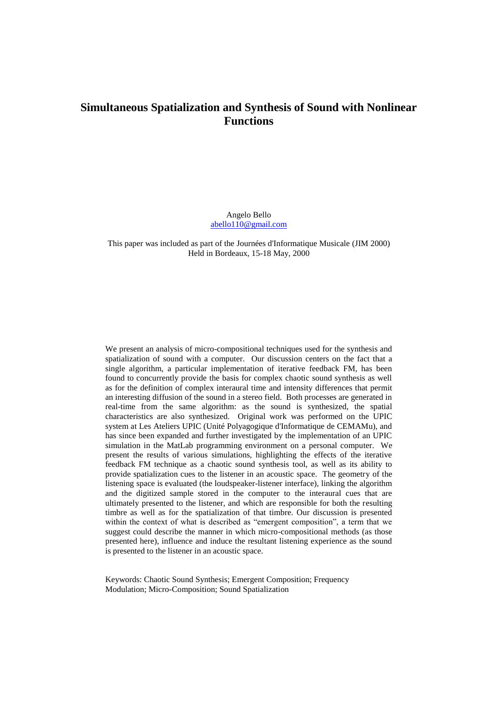# **Simultaneous Spatialization and Synthesis of Sound with Nonlinear Functions**

Angelo Bello [abello110@gmail.com](mailto:abello110@gmail.com)

This paper was included as part of the Journées d'Informatique Musicale (JIM 2000) Held in Bordeaux, 15-18 May, 2000

We present an analysis of micro-compositional techniques used for the synthesis and spatialization of sound with a computer. Our discussion centers on the fact that a single algorithm, a particular implementation of iterative feedback FM, has been found to concurrently provide the basis for complex chaotic sound synthesis as well as for the definition of complex interaural time and intensity differences that permit an interesting diffusion of the sound in a stereo field. Both processes are generated in real-time from the same algorithm: as the sound is synthesized, the spatial characteristics are also synthesized. Original work was performed on the UPIC system at Les Ateliers UPIC (Unité Polyagogique d'Informatique de CEMAMu), and has since been expanded and further investigated by the implementation of an UPIC simulation in the MatLab programming environment on a personal computer. We present the results of various simulations, highlighting the effects of the iterative feedback FM technique as a chaotic sound synthesis tool, as well as its ability to provide spatialization cues to the listener in an acoustic space. The geometry of the listening space is evaluated (the loudspeaker-listener interface), linking the algorithm and the digitized sample stored in the computer to the interaural cues that are ultimately presented to the listener, and which are responsible for both the resulting timbre as well as for the spatialization of that timbre. Our discussion is presented within the context of what is described as "emergent composition", a term that we suggest could describe the manner in which micro-compositional methods (as those presented here), influence and induce the resultant listening experience as the sound is presented to the listener in an acoustic space.

Keywords: Chaotic Sound Synthesis; Emergent Composition; Frequency Modulation; Micro-Composition; Sound Spatialization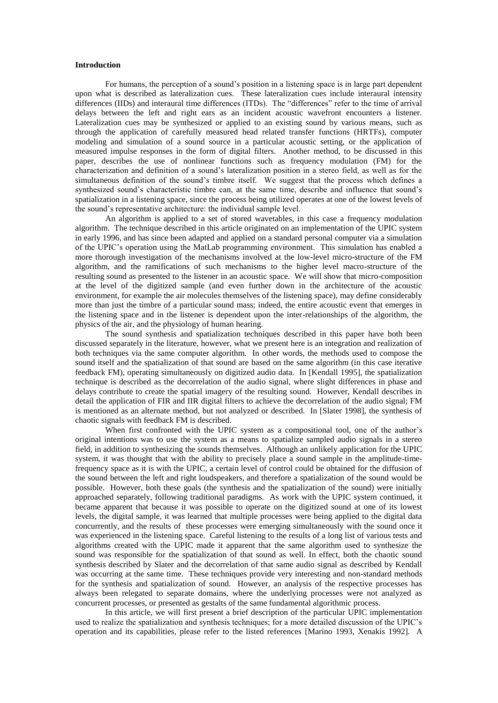## **Introduction**

For humans, the perception of a sound's position in a listening space is in large part dependent upon what is described as lateralization cues. These lateralization cues include interaural intensity differences (IIDs) and interaural time differences (ITDs). The "differences" refer to the time of arrival delays between the left and right ears as an incident acoustic wavefront encounters a listener. Lateralization cues may be synthesized or applied to an existing sound by various means, such as through the application of carefully measured head related transfer functions (HRTFs), computer modeling and simulation of a sound source in a particular acoustic setting, or the application of measured impulse responses in the form of digital filters. Another method, to be discussed in this paper, describes the use of nonlinear functions such as frequency modulation (FM) for the characterization and definition of a sound's lateralization position in a stereo field, as well as for the simultaneous definition of the sound's timbre itself. We suggest that the process which defines a synthesized sound's characteristic timbre can, at the same time, describe and influence that sound's spatialization in a listening space, since the process being utilized operates at one of the lowest levels of the sound's representative architecture: the individual sample level.

An algorithm is applied to a set of stored wavetables, in this case a frequency modulation algorithm. The technique described in this article originated on an implementation of the UPIC system in early 1996, and has since been adapted and applied on a standard personal computer via a simulation of the UPIC's operation using the MatLab programming environment. This simulation has enabled a more thorough investigation of the mechanisms involved at the low-level micro-structure of the FM algorithm, and the ramifications of such mechanisms to the higher level macro-structure of the resulting sound as presented to the listener in an acoustic space. We will show that micro-composition at the level of the digitized sample (and even further down in the architecture of the acoustic environment, for example the air molecules themselves of the listening space), may define considerably more than just the timbre of a particular sound mass; indeed, the entire acoustic event that emerges in the listening space and in the listener is dependent upon the inter-relationships of the algorithm, the physics of the air, and the physiology of human hearing.

The sound synthesis and spatialization techniques described in this paper have both been discussed separately in the literature, however, what we present here is an integration and realization of both techniques via the same computer algorithm. In other words, the methods used to compose the sound itself and the spatialization of that sound are based on the same algorithm (in this case iterative feedback FM), operating simultaneously on digitized audio data. In [Kendall 1995], the spatialization technique is described as the decorrelation of the audio signal, where slight differences in phase and delays contribute to create the spatial imagery of the resulting sound. However, Kendall describes in detail the application of FIR and IIR digital filters to achieve the decorrelation of the audio signal; FM is mentioned as an alternate method, but not analyzed or described. In [Slater 1998], the synthesis of chaotic signals with feedback FM is described.

When first confronted with the UPIC system as a compositional tool, one of the author's original intentions was to use the system as a means to spatialize sampled audio signals in a stereo field, in addition to synthesizing the sounds themselves. Although an unlikely application for the UPIC system, it was thought that with the ability to precisely place a sound sample in the amplitude-timefrequency space as it is with the UPIC, a certain level of control could be obtained for the diffusion of the sound between the left and right loudspeakers, and therefore a spatialization of the sound would be possible. However, both these goals (the synthesis and the spatialization of the sound) were initially approached separately, following traditional paradigms. As work with the UPIC system continued, it became apparent that because it was possible to operate on the digitized sound at one of its lowest levels, the digital sample, it was learned that multiple processes were being applied to the digital data concurrently, and the results of these processes were emerging simultaneously with the sound once it was experienced in the listening space. Careful listening to the results of a long list of various tests and algorithms created with the UPIC made it apparent that the same algorithm used to synthesize the sound was responsible for the spatialization of that sound as well. In effect, both the chaotic sound synthesis described by Slater and the decorrelation of that same audio signal as described by Kendall was occurring at the same time. These techniques provide very interesting and non-standard methods for the synthesis and spatialization of sound. However, an analysis of the respective processes has always been relegated to separate domains, where the underlying processes were not analyzed as concurrent processes, or presented as gestalts of the same fundamental algorithmic process.

In this article, we will first present a brief description of the particular UPIC implementation used to realize the spatialization and synthesis techniques; for a more detailed discussion of the UPIC's operation and its capabilities, please refer to the listed references [Marino 1993, Xenakis 1992]. A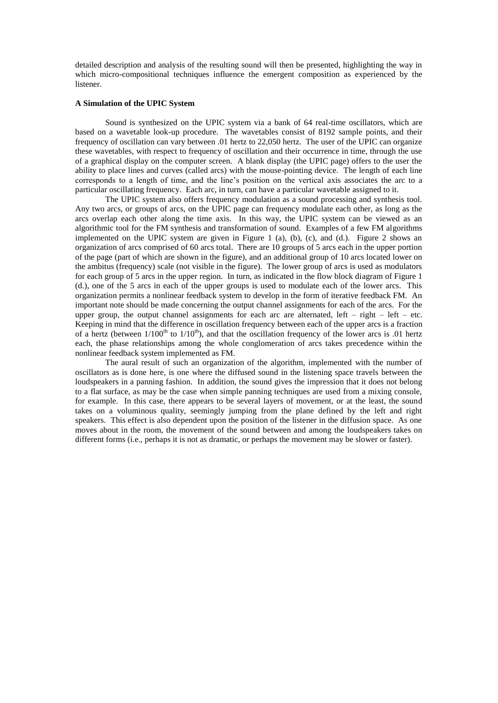detailed description and analysis of the resulting sound will then be presented, highlighting the way in which micro-compositional techniques influence the emergent composition as experienced by the listener.

#### **A Simulation of the UPIC System**

Sound is synthesized on the UPIC system via a bank of 64 real-time oscillators, which are based on a wavetable look-up procedure. The wavetables consist of 8192 sample points, and their frequency of oscillation can vary between .01 hertz to 22,050 hertz. The user of the UPIC can organize these wavetables, with respect to frequency of oscillation and their occurrence in time, through the use of a graphical display on the computer screen. A blank display (the UPIC page) offers to the user the ability to place lines and curves (called arcs) with the mouse-pointing device. The length of each line corresponds to a length of time, and the line's position on the vertical axis associates the arc to a particular oscillating frequency. Each arc, in turn, can have a particular wavetable assigned to it.

The UPIC system also offers frequency modulation as a sound processing and synthesis tool. Any two arcs, or groups of arcs, on the UPIC page can frequency modulate each other, as long as the arcs overlap each other along the time axis. In this way, the UPIC system can be viewed as an algorithmic tool for the FM synthesis and transformation of sound. Examples of a few FM algorithms implemented on the UPIC system are given in Figure 1 (a), (b), (c), and (d.). Figure 2 shows an organization of arcs comprised of 60 arcs total. There are 10 groups of 5 arcs each in the upper portion of the page (part of which are shown in the figure), and an additional group of 10 arcs located lower on the ambitus (frequency) scale (not visible in the figure). The lower group of arcs is used as modulators for each group of 5 arcs in the upper region. In turn, as indicated in the flow block diagram of Figure 1 (d.), one of the 5 arcs in each of the upper groups is used to modulate each of the lower arcs. This organization permits a nonlinear feedback system to develop in the form of iterative feedback FM. An important note should be made concerning the output channel assignments for each of the arcs. For the upper group, the output channel assignments for each arc are alternated, left – right – left – etc. Keeping in mind that the difference in oscillation frequency between each of the upper arcs is a fraction of a hertz (between  $1/100^{\text{th}}$  to  $1/10^{\text{th}}$ ), and that the oscillation frequency of the lower arcs is .01 hertz each, the phase relationships among the whole conglomeration of arcs takes precedence within the nonlinear feedback system implemented as FM.

The aural result of such an organization of the algorithm, implemented with the number of oscillators as is done here, is one where the diffused sound in the listening space travels between the loudspeakers in a panning fashion. In addition, the sound gives the impression that it does not belong to a flat surface, as may be the case when simple panning techniques are used from a mixing console, for example. In this case, there appears to be several layers of movement, or at the least, the sound takes on a voluminous quality, seemingly jumping from the plane defined by the left and right speakers. This effect is also dependent upon the position of the listener in the diffusion space. As one moves about in the room, the movement of the sound between and among the loudspeakers takes on different forms (i.e., perhaps it is not as dramatic, or perhaps the movement may be slower or faster).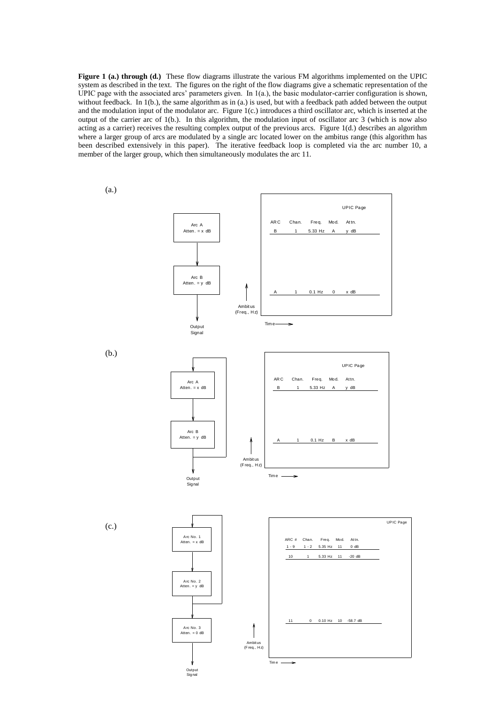**Figure 1 (a.) through (d.)** These flow diagrams illustrate the various FM algorithms implemented on the UPIC system as described in the text. The figures on the right of the flow diagrams give a schematic representation of the UPIC page with the associated arcs' parameters given. In  $1(a)$ , the basic modulator-carrier configuration is shown, without feedback. In 1(b.), the same algorithm as in (a.) is used, but with a feedback path added between the output and the modulation input of the modulator arc. Figure 1(c.) introduces a third oscillator arc, which is inserted at the output of the carrier arc of 1(b.). In this algorithm, the modulation input of oscillator arc 3 (which is now also acting as a carrier) receives the resulting complex output of the previous arcs. Figure 1(d.) describes an algorithm where a larger group of arcs are modulated by a single arc located lower on the ambitus range (this algorithm has been described extensively in this paper). The iterative feedback loop is completed via the arc number 10, a member of the larger group, which then simultaneously modulates the arc 11.

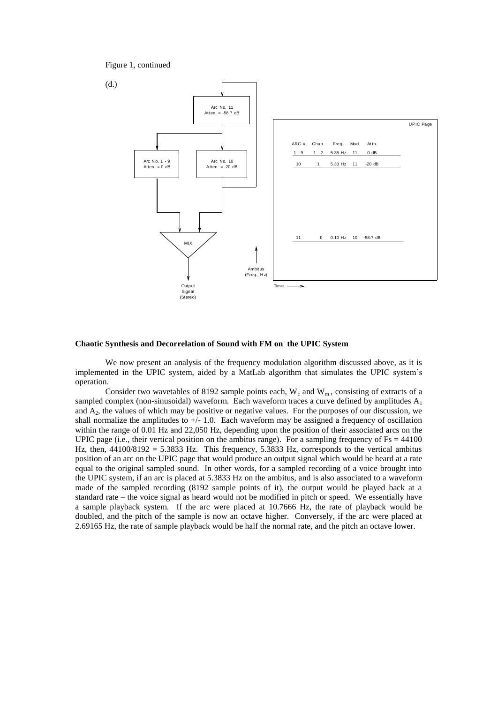Figure 1, continued



## **Chaotic Synthesis and Decorrelation of Sound with FM on the UPIC System**

We now present an analysis of the frequency modulation algorithm discussed above, as it is implemented in the UPIC system, aided by a MatLab algorithm that simulates the UPIC system's operation.

Consider two wavetables of 8192 sample points each,  $W_c$  and  $W_m$ , consisting of extracts of a sampled complex (non-sinusoidal) waveform. Each waveform traces a curve defined by amplitudes  $A_1$ and  $A<sub>2</sub>$ , the values of which may be positive or negative values. For the purposes of our discussion, we shall normalize the amplitudes to  $+/- 1.0$ . Each waveform may be assigned a frequency of oscillation within the range of 0.01 Hz and 22,050 Hz, depending upon the position of their associated arcs on the UPIC page (i.e., their vertical position on the ambitus range). For a sampling frequency of  $Fs = 44100$ Hz, then,  $44100/8192 = 5.3833$  Hz. This frequency,  $5.3833$  Hz, corresponds to the vertical ambitus position of an arc on the UPIC page that would produce an output signal which would be heard at a rate equal to the original sampled sound. In other words, for a sampled recording of a voice brought into the UPIC system, if an arc is placed at 5.3833 Hz on the ambitus, and is also associated to a waveform made of the sampled recording (8192 sample points of it), the output would be played back at a standard rate – the voice signal as heard would not be modified in pitch or speed. We essentially have a sample playback system. If the arc were placed at 10.7666 Hz, the rate of playback would be doubled, and the pitch of the sample is now an octave higher. Conversely, if the arc were placed at 2.69165 Hz, the rate of sample playback would be half the normal rate, and the pitch an octave lower.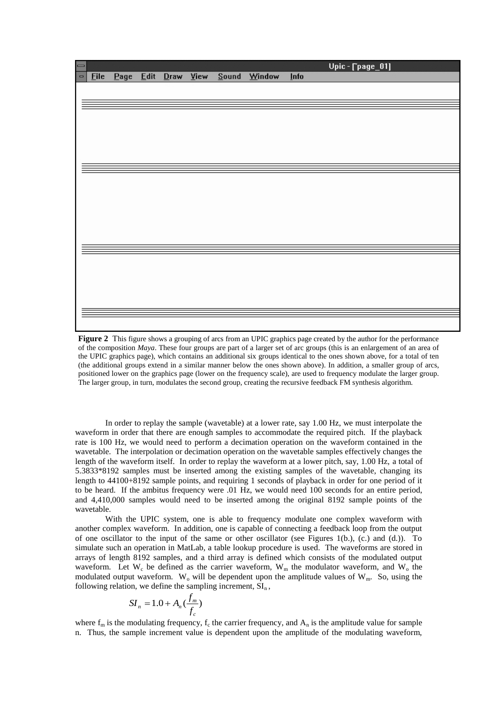

**Figure 2** This figure shows a grouping of arcs from an UPIC graphics page created by the author for the performance of the composition *Maya*. These four groups are part of a larger set of arc groups (this is an enlargement of an area of the UPIC graphics page), which contains an additional six groups identical to the ones shown above, for a total of ten (the additional groups extend in a similar manner below the ones shown above). In addition, a smaller group of arcs, positioned lower on the graphics page (lower on the frequency scale), are used to frequency modulate the larger group. The larger group, in turn, modulates the second group, creating the recursive feedback FM synthesis algorithm.

In order to replay the sample (wavetable) at a lower rate, say 1.00 Hz, we must interpolate the waveform in order that there are enough samples to accommodate the required pitch. If the playback rate is 100 Hz, we would need to perform a decimation operation on the waveform contained in the wavetable. The interpolation or decimation operation on the wavetable samples effectively changes the length of the waveform itself. In order to replay the waveform at a lower pitch, say, 1.00 Hz, a total of 5.3833\*8192 samples must be inserted among the existing samples of the wavetable, changing its length to 44100+8192 sample points, and requiring 1 seconds of playback in order for one period of it to be heard. If the ambitus frequency were .01 Hz, we would need 100 seconds for an entire period, and 4,410,000 samples would need to be inserted among the original 8192 sample points of the wavetable.

With the UPIC system, one is able to frequency modulate one complex waveform with another complex waveform. In addition, one is capable of connecting a feedback loop from the output of one oscillator to the input of the same or other oscillator (see Figures 1(b.), (c.) and (d.)). To simulate such an operation in MatLab, a table lookup procedure is used. The waveforms are stored in arrays of length 8192 samples, and a third array is defined which consists of the modulated output waveform. Let  $W_c$  be defined as the carrier waveform,  $W_m$  the modulator waveform, and  $W_o$  the modulated output waveform.  $W_0$  will be dependent upon the amplitude values of  $W_m$ . So, using the following relation, we define the sampling increment,  $SI_n$ ,

$$
SI_n = 1.0 + A_n \left(\frac{f_m}{f_c}\right)
$$

where  $f_m$  is the modulating frequency,  $f_c$  the carrier frequency, and  $A_n$  is the amplitude value for sample n. Thus, the sample increment value is dependent upon the amplitude of the modulating waveform,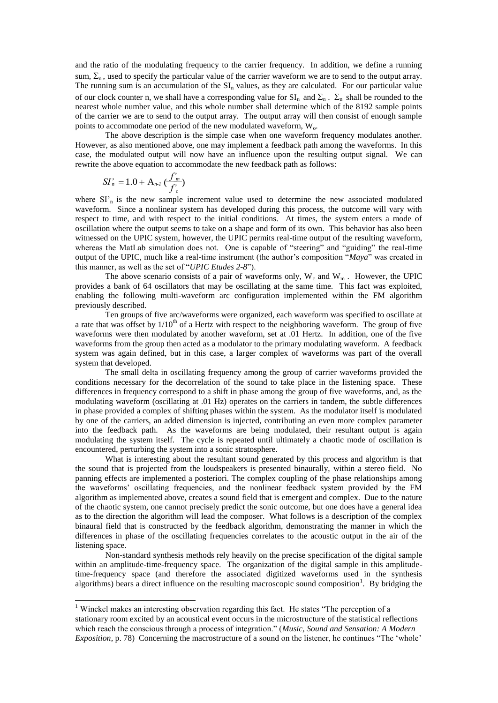and the ratio of the modulating frequency to the carrier frequency. In addition, we define a running sum,  $\Sigma_n$ , used to specify the particular value of the carrier waveform we are to send to the output array. The running sum is an accumulation of the  $SI_n$  values, as they are calculated. For our particular value of our clock counter n, we shall have a corresponding value for  $SI_n$  and  $\Sigma_n$ .  $\Sigma_n$  shall be rounded to the nearest whole number value, and this whole number shall determine which of the 8192 sample points of the carrier we are to send to the output array. The output array will then consist of enough sample points to accommodate one period of the new modulated waveform,  $W_0$ .

The above description is the simple case when one waveform frequency modulates another. However, as also mentioned above, one may implement a feedback path among the waveforms. In this case, the modulated output will now have an influence upon the resulting output signal. We can rewrite the above equation to accommodate the new feedback path as follows:

$$
SI_n' = 1.0 + A_{n-l} \, (\frac{f_m'}{f_c'})
$$

-

where  $SI_n$  is the new sample increment value used to determine the new associated modulated waveform. Since a nonlinear system has developed during this process, the outcome will vary with respect to time, and with respect to the initial conditions. At times, the system enters a mode of oscillation where the output seems to take on a shape and form of its own. This behavior has also been witnessed on the UPIC system, however, the UPIC permits real-time output of the resulting waveform, whereas the MatLab simulation does not. One is capable of "steering" and "guiding" the real-time output of the UPIC, much like a real-time instrument (the author's composition "*Maya*" was created in this manner, as well as the set of "*UPIC Etudes 2-8*").

The above scenario consists of a pair of waveforms only,  $W_c$  and  $W_m$ . However, the UPIC provides a bank of 64 oscillators that may be oscillating at the same time. This fact was exploited, enabling the following multi-waveform arc configuration implemented within the FM algorithm previously described.

Ten groups of five arc/waveforms were organized, each waveform was specified to oscillate at a rate that was offset by  $1/10<sup>th</sup>$  of a Hertz with respect to the neighboring waveform. The group of five waveforms were then modulated by another waveform, set at .01 Hertz. In addition, one of the five waveforms from the group then acted as a modulator to the primary modulating waveform. A feedback system was again defined, but in this case, a larger complex of waveforms was part of the overall system that developed.

The small delta in oscillating frequency among the group of carrier waveforms provided the conditions necessary for the decorrelation of the sound to take place in the listening space. These differences in frequency correspond to a shift in phase among the group of five waveforms, and, as the modulating waveform (oscillating at .01 Hz) operates on the carriers in tandem, the subtle differences in phase provided a complex of shifting phases within the system. As the modulator itself is modulated by one of the carriers, an added dimension is injected, contributing an even more complex parameter into the feedback path. As the waveforms are being modulated, their resultant output is again modulating the system itself. The cycle is repeated until ultimately a chaotic mode of oscillation is encountered, perturbing the system into a sonic stratosphere.

What is interesting about the resultant sound generated by this process and algorithm is that the sound that is projected from the loudspeakers is presented binaurally, within a stereo field. No panning effects are implemented a posteriori. The complex coupling of the phase relationships among the waveforms' oscillating frequencies, and the nonlinear feedback system provided by the FM algorithm as implemented above, creates a sound field that is emergent and complex. Due to the nature of the chaotic system, one cannot precisely predict the sonic outcome, but one does have a general idea as to the direction the algorithm will lead the composer. What follows is a description of the complex binaural field that is constructed by the feedback algorithm, demonstrating the manner in which the differences in phase of the oscillating frequencies correlates to the acoustic output in the air of the listening space.

Non-standard synthesis methods rely heavily on the precise specification of the digital sample within an amplitude-time-frequency space. The organization of the digital sample in this amplitudetime-frequency space (and therefore the associated digitized waveforms used in the synthesis algorithms) bears a direct influence on the resulting macroscopic sound composition<sup>1</sup>. By bridging the

<sup>&</sup>lt;sup>1</sup> Winckel makes an interesting observation regarding this fact. He states "The perception of a stationary room excited by an acoustical event occurs in the microstructure of the statistical reflections which reach the conscious through a process of integration." (*Music, Sound and Sensation: A Modern Exposition*, p. 78) Concerning the macrostructure of a sound on the listener, he continues "The 'whole'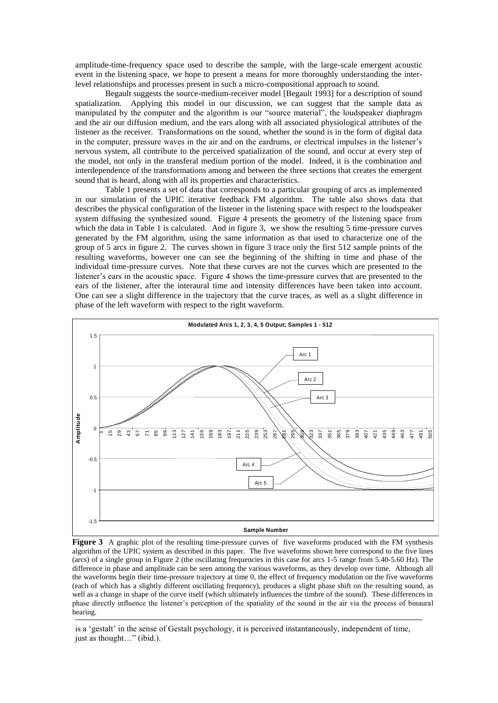amplitude-time-frequency space used to describe the sample, with the large-scale emergent acoustic event in the listening space, we hope to present a means for more thoroughly understanding the interlevel relationships and processes present in such a micro-compositional approach to sound.

Begault suggests the source-medium-receiver model [Begault 1993] for a description of sound spatialization. Applying this model in our discussion, we can suggest that the sample data as manipulated by the computer and the algorithm is our "source material", the loudspeaker diaphragm and the air our diffusion medium, and the ears along with all associated physiological attributes of the listener as the receiver. Transformations on the sound, whether the sound is in the form of digital data in the computer, pressure waves in the air and on the eardrums, or electrical impulses in the listener's nervous system, all contribute to the perceived spatialization of the sound, and occur at every step of the model, not only in the transferal medium portion of the model. Indeed, it is the combination and interdependence of the transformations among and between the three sections that creates the emergent sound that is heard, along with all its properties and characteristics.

Table 1 presents a set of data that corresponds to a particular grouping of arcs as implemented in our simulation of the UPIC iterative feedback FM algorithm. The table also shows data that describes the physical configuration of the listener in the listening space with respect to the loudspeaker system diffusing the synthesized sound. Figure 4 presents the geometry of the listening space from which the data in Table 1 is calculated. And in figure 3, we show the resulting 5 time-pressure curves generated by the FM algorithm, using the same information as that used to characterize one of the group of 5 arcs in figure 2. The curves shown in figure 3 trace only the first 512 sample points of the resulting waveforms, however one can see the beginning of the shifting in time and phase of the individual time-pressure curves. Note that these curves are not the curves which are presented to the listener's ears in the acoustic space. Figure 4 shows the time-pressure curves that are presented to the ears of the listener, after the interaural time and intensity differences have been taken into account. One can see a slight difference in the trajectory that the curve traces, as well as a slight difference in phase of the left waveform with respect to the right waveform.



1 **Figure 3** A graphic plot of the resulting time-pressure curves of five waveforms produced with the FM synthesis algorithm of the UPIC system as described in this paper. The five waveforms shown here correspond to the five lines (arcs) of a single group in Figure 2 (the oscillating frequencies in this case for arcs 1-5 range from 5.40-5.60 Hz). The difference in phase and amplitude can be seen among the various waveforms, as they develop over time. Although all the waveforms begin their time-pressure trajectory at time 0, the effect of frequency modulation on the five waveforms (each of which has a slightly different oscillating frequency), produces a slight phase shift on the resulting sound, as well as a change in shape of the curve itself (which ultimately influences the timbre of the sound). These differences in phase directly influence the listener's perception of the spatiality of the sound in the air via the process of binaural hearing.

is a 'gestalt' in the sense of Gestalt psychology, it is perceived instantaneously, independent of time, just as thought…" (ibid.).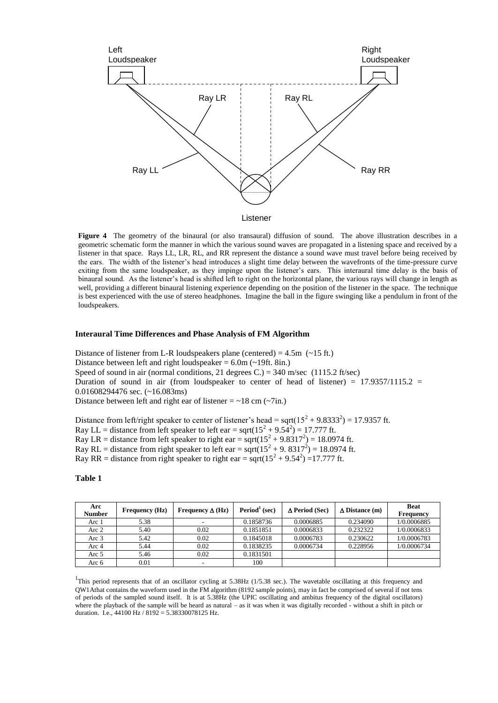

**Figure 4** The geometry of the binaural (or also transaural) diffusion of sound. The above illustration describes in a geometric schematic form the manner in which the various sound waves are propagated in a listening space and received by a listener in that space. Rays LL, LR, RL, and RR represent the distance a sound wave must travel before being received by the ears. The width of the listener's head introduces a slight time delay between the wavefronts of the time-pressure curve exiting from the same loudspeaker, as they impinge upon the listener's ears. This interaural time delay is the basis of binaural sound. As the listener's head is shifted left to right on the horizontal plane, the various rays will change in length as well, providing a different binaural listening experience depending on the position of the listener in the space. The technique is best experienced with the use of stereo headphones. Imagine the ball in the figure swinging like a pendulum in front of the loudspeakers.

#### **Interaural Time Differences and Phase Analysis of FM Algorithm**

Distance of listener from L-R loudspeakers plane (centered) =  $4.5m$  ( $\sim$ 15 ft.) Distance between left and right loudspeaker  $= 6.0$ m ( $\sim$ 19ft. 8in.) Speed of sound in air (normal conditions, 21 degrees C.) =  $340$  m/sec (1115.2 ft/sec) Duration of sound in air (from loudspeaker to center of head of listener) =  $17.9357/1115.2$  = 0.01608294476 sec. (~16.083ms) Distance between left and right ear of listener  $= \sim 18$  cm ( $\sim$ 7in.)

Distance from left/right speaker to center of listener's head = sqrt( $15^2 + 9.8333^2$ ) = 17.9357 ft. Ray LL = distance from left speaker to left ear = sqrt( $15^2 + 9.54^2$ ) = 17.777 ft. Ray LR = distance from left speaker to right ear =  $sqrt(15^2 + 9.8317^2) = 18.0974$  ft. Ray RL = distance from right speaker to left ear = sqrt( $15^2 + 9.8317^2$ ) = 18.0974 ft. Ray RR = distance from right speaker to right ear = sqrt( $15^2 + 9.54^2$ ) =17.777 ft.

#### **Table 1**

| Arc<br><b>Number</b> | <b>Frequency (Hz)</b> | Frequency $\Delta$ (Hz) | $Period1$ (sec) | $\Delta$ Period (Sec) | $\Delta$ Distance (m) | <b>Beat</b><br><b>Frequency</b> |
|----------------------|-----------------------|-------------------------|-----------------|-----------------------|-----------------------|---------------------------------|
| Arc 1                | 5.38                  | ۰                       | 0.1858736       | 0.0006885             | 0.234090              | 1/0.0006885                     |
| Arc $2$              | 5.40                  | 0.02                    | 0.1851851       | 0.0006833             | 0.232322              | 1/0.0006833                     |
| Arc $3$              | 5.42                  | 0.02                    | 0.1845018       | 0.0006783             | 0.230622              | 1/0.0006783                     |
| Arc 4                | 5.44                  | 0.02                    | 0.1838235       | 0.0006734             | 0.228956              | 1/0.0006734                     |
| Arc 5                | 5.46                  | 0.02                    | 0.1831501       |                       |                       |                                 |
| Arc 6                | 0.01                  | ۰                       | 100             |                       |                       |                                 |

<sup>1</sup>This period represents that of an oscillator cycling at 5.38Hz (1/5.38 sec.). The wavetable oscillating at this frequency and QW1Athat contains the waveform used in the FM algorithm (8192 sample points), may in fact be comprised of several if not tens of periods of the sampled sound itself. It is at 5.38Hz (the UPIC oscillating and ambitus frequency of the digital oscillators) where the playback of the sample will be heard as natural – as it was when it was digitally recorded - without a shift in pitch or duration. I.e., 44100 Hz / 8192 = 5.38330078125 Hz.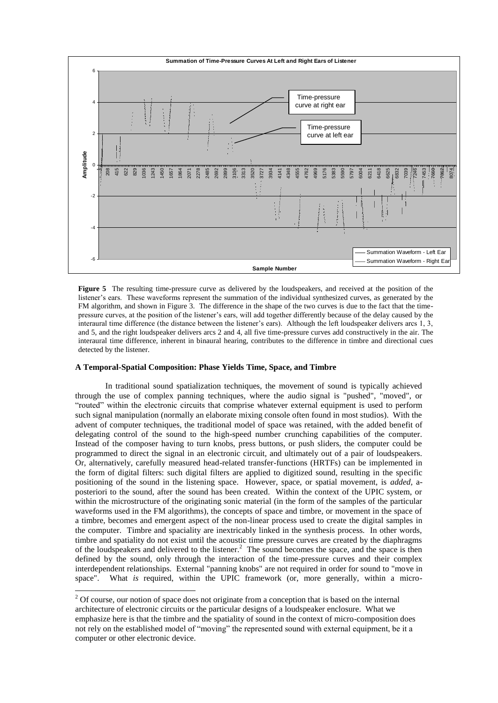

**Figure 5** The resulting time-pressure curve as delivered by the loudspeakers, and received at the position of the listener's ears. These waveforms represent the summation of the individual synthesized curves, as generated by the FM algorithm, and shown in Figure 3. The difference in the shape of the two curves is due to the fact that the timepressure curves, at the position of the listener's ears, will add together differently because of the delay caused by the interaural time difference (the distance between the listener's ears). Although the left loudspeaker delivers arcs 1, 3, and 5, and the right loudspeaker delivers arcs 2 and 4, all five time-pressure curves add constructively in the air. The interaural time difference, inherent in binaural hearing, contributes to the difference in timbre and directional cues detected by the listener.

# **A Temporal-Spatial Composition: Phase Yields Time, Space, and Timbre**

-

In traditional sound spatialization techniques, the movement of sound is typically achieved through the use of complex panning techniques, where the audio signal is "pushed", "moved", or "routed" within the electronic circuits that comprise whatever external equipment is used to perform such signal manipulation (normally an elaborate mixing console often found in most studios). With the advent of computer techniques, the traditional model of space was retained, with the added benefit of delegating control of the sound to the high-speed number crunching capabilities of the computer. Instead of the composer having to turn knobs, press buttons, or push sliders, the computer could be programmed to direct the signal in an electronic circuit, and ultimately out of a pair of loudspeakers. Or, alternatively, carefully measured head-related transfer-functions (HRTFs) can be implemented in the form of digital filters: such digital filters are applied to digitized sound, resulting in the specific positioning of the sound in the listening space. However, space, or spatial movement, is *added,* aposteriori to the sound, after the sound has been created. Within the context of the UPIC system, or within the microstructure of the originating sonic material (in the form of the samples of the particular waveforms used in the FM algorithms), the concepts of space and timbre, or movement in the space of a timbre, becomes and emergent aspect of the non-linear process used to create the digital samples in the computer. Timbre and spaciality are inextricably linked in the synthesis process. In other words, timbre and spatiality do not exist until the acoustic time pressure curves are created by the diaphragms of the loudspeakers and delivered to the listener.<sup>2</sup> The sound becomes the space, and the space is then defined by the sound, only through the interaction of the time-pressure curves and their complex interdependent relationships. External "panning knobs" are not required in order for sound to "move in space". What *is* required, within the UPIC framework (or, more generally, within a micro-

<sup>&</sup>lt;sup>2</sup> Of course, our notion of space does not originate from a conception that is based on the internal architecture of electronic circuits or the particular designs of a loudspeaker enclosure. What we emphasize here is that the timbre and the spatiality of sound in the context of micro-composition does not rely on the established model of "moving" the represented sound with external equipment, be it a computer or other electronic device.